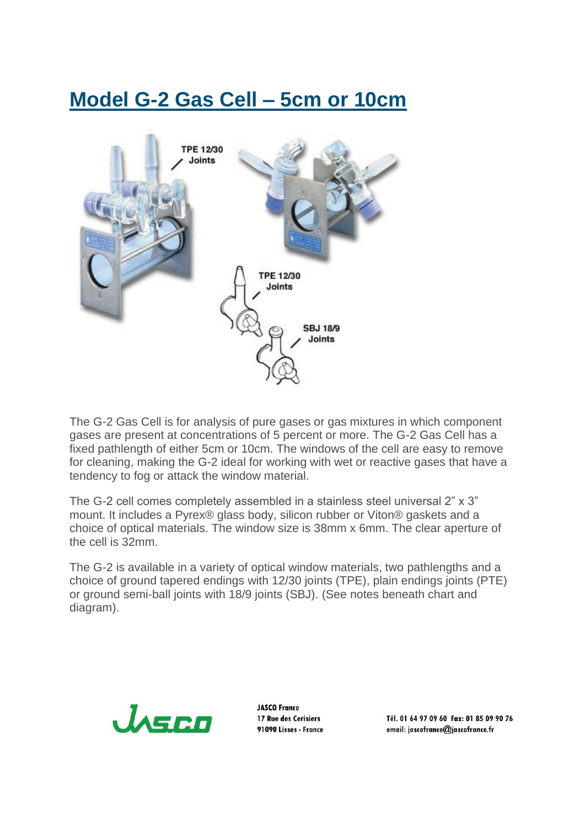## **Model G-2 Gas Cell – 5cm or 10cm**



The G-2 Gas Cell is for analysis of pure gases or gas mixtures in which component gases are present at concentrations of 5 percent or more. The G-2 Gas Cell has a fixed pathlength of either 5cm or 10cm. The windows of the cell are easy to remove for cleaning, making the G-2 ideal for working with wet or reactive gases that have a tendency to fog or attack the window material.

The G-2 cell comes completely assembled in a stainless steel universal 2" x 3" mount. It includes a Pyrex® glass body, silicon rubber or Viton® gaskets and a choice of optical materials. The window size is 38mm x 6mm. The clear aperture of the cell is 32mm.

The G-2 is available in a variety of optical window materials, two pathlengths and a choice of ground tapered endings with 12/30 joints (TPE), plain endings joints (PTE) or ground semi-ball joints with 18/9 joints (SBJ). (See notes beneath chart and diagram).



**IASCO France** 17 Rue des Cerisiers 91090 Lisses - France

Tél. 01 64 97 09 60 Fax: 01 85 09 90 76 email: jascofrance@jascofrance.fr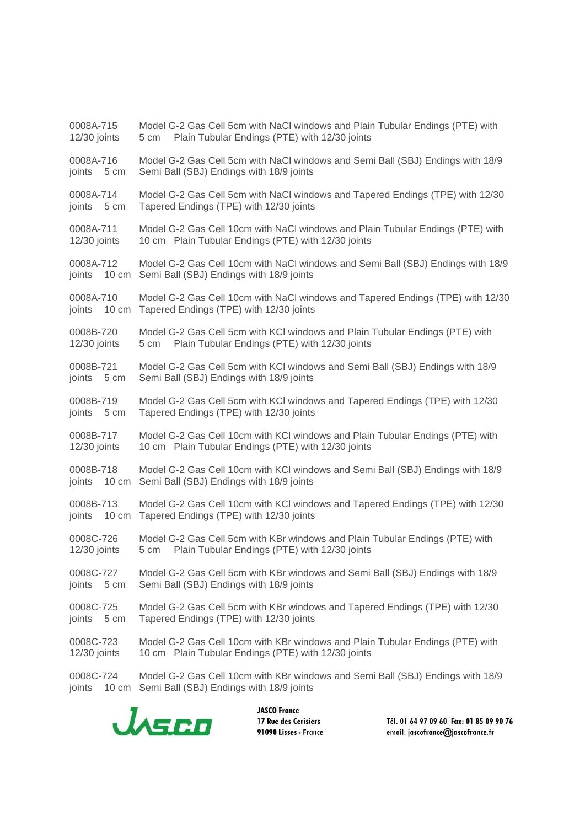0008A-715 Model G-2 Gas Cell 5cm with NaCl windows and Plain Tubular Endings (PTE) with 12/30 joints 5 cm Plain Tubular Endings (PTE) with 12/30 joints 0008A-716 Model G-2 Gas Cell 5cm with NaCl windows and Semi Ball (SBJ) Endings with 18/9 joints 5 cm Semi Ball (SBJ) Endings with 18/9 joints 0008A-714 Model G-2 Gas Cell 5cm with NaCl windows and Tapered Endings (TPE) with 12/30 joints 5 cm Tapered Endings (TPE) with 12/30 joints 0008A-711 Model G-2 Gas Cell 10cm with NaCl windows and Plain Tubular Endings (PTE) with 12/30 joints 10 cm Plain Tubular Endings (PTE) with 12/30 joints 0008A-712 Model G-2 Gas Cell 10cm with NaCl windows and Semi Ball (SBJ) Endings with 18/9 joints 10 cm Semi Ball (SBJ) Endings with 18/9 joints 0008A-710 Model G-2 Gas Cell 10cm with NaCl windows and Tapered Endings (TPE) with 12/30 joints 10 cm Tapered Endings (TPE) with 12/30 joints 0008B-720 Model G-2 Gas Cell 5cm with KCl windows and Plain Tubular Endings (PTE) with 12/30 joints 5 cm Plain Tubular Endings (PTE) with 12/30 joints 0008B-721 Model G-2 Gas Cell 5cm with KCl windows and Semi Ball (SBJ) Endings with 18/9 joints 5 cm Semi Ball (SBJ) Endings with 18/9 joints 0008B-719 Model G-2 Gas Cell 5cm with KCl windows and Tapered Endings (TPE) with 12/30 joints 5 cm Tapered Endings (TPE) with 12/30 joints 0008B-717 Model G-2 Gas Cell 10cm with KCl windows and Plain Tubular Endings (PTE) with 12/30 joints 10 cm Plain Tubular Endings (PTE) with 12/30 joints 0008B-718 Model G-2 Gas Cell 10cm with KCl windows and Semi Ball (SBJ) Endings with 18/9 joints 10 cm Semi Ball (SBJ) Endings with 18/9 joints 0008B-713 Model G-2 Gas Cell 10cm with KCl windows and Tapered Endings (TPE) with 12/30 joints 10 cm Tapered Endings (TPE) with 12/30 joints 0008C-726 Model G-2 Gas Cell 5cm with KBr windows and Plain Tubular Endings (PTE) with 12/30 joints 5 cm Plain Tubular Endings (PTE) with 12/30 joints 0008C-727 Model G-2 Gas Cell 5cm with KBr windows and Semi Ball (SBJ) Endings with 18/9 joints 5 cm Semi Ball (SBJ) Endings with 18/9 joints 0008C-725 Model G-2 Gas Cell 5cm with KBr windows and Tapered Endings (TPE) with 12/30 joints 5 cm Tapered Endings (TPE) with 12/30 joints 0008C-723 Model G-2 Gas Cell 10cm with KBr windows and Plain Tubular Endings (PTE) with 12/30 joints 10 cm Plain Tubular Endings (PTE) with 12/30 joints 0008C-724 Model G-2 Gas Cell 10cm with KBr windows and Semi Ball (SBJ) Endings with 18/9 joints 10 cm Semi Ball (SBJ) Endings with 18/9 joints



**JASCO France** 17 Rue des Cerisiers 91090 Lisses - France

Tél. 01 64 97 09 60 Fax: 01 85 09 90 76 email: jascofrance@jascofrance.fr